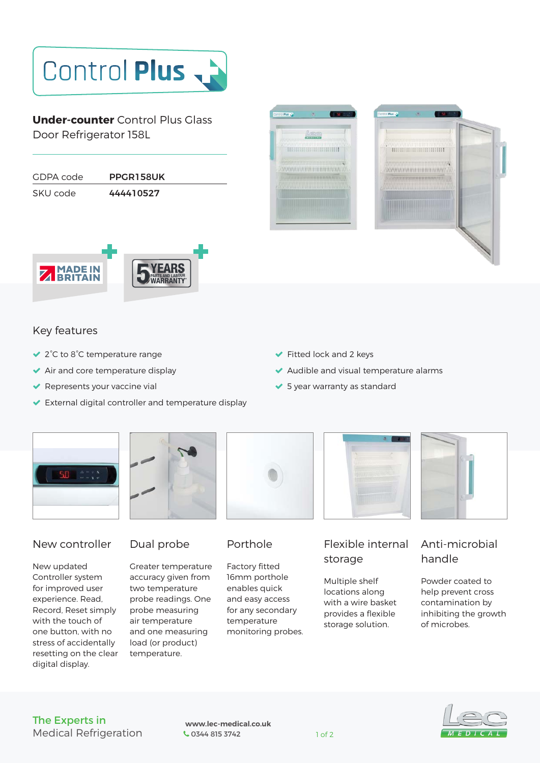# Control Plus

**Under-counter** Control Plus Glass Door Refrigerator 158L

| GDPA code | PPGR158UK |  |
|-----------|-----------|--|
| SKU code  | 444410527 |  |







## Key features

- 2°C to 8°C temperature range
- ◆ Air and core temperature display
- $\blacktriangleright$  Represents your vaccine vial
- External digital controller and temperature display
- Fitted lock and 2 keys
- Audible and visual temperature alarms
- ◆ 5 year warranty as standard





## New controller

New updated Controller system for improved user experience. Read, Record, Reset simply with the touch of one button, with no stress of accidentally resetting on the clear digital display.

# Dual probe

Greater temperature accuracy given from two temperature probe readings. One probe measuring air temperature and one measuring load (or product) temperature.



# Porthole

Factory fitted 16mm porthole enables quick and easy access for any secondary temperature monitoring probes.



# Flexible internal storage

Multiple shelf locations along with a wire basket provides a flexible storage solution.

# Anti-microbial handle

Powder coated to help prevent cross contamination by inhibiting the growth of microbes.

#### The Experts in Medical Refrigeration

 **www.lec-medical.co.uk**  Company 1 of 2